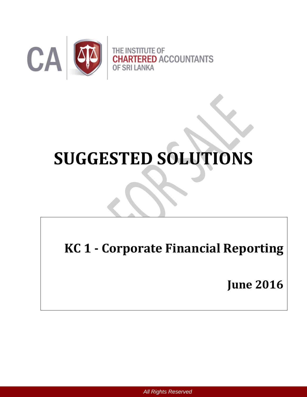

# **SUGGESTED SOLUTIONS**

**KC 1 - Corporate Financial Reporting**

**June 2016**

*All Rights Reserved*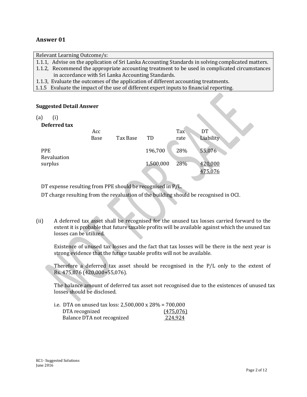## **Answer 01**

Relevant Learning Outcome/s: 1.1.1, Advise on the application of Sri Lanka Accounting Standards in solving complicated matters. 1.1.2, Recommend the appropriate accounting treatment to be used in complicated circumstances in accordance with Sri Lanka Accounting Standards. 1.1.3, Evaluate the outcomes of the application of different accounting treatments. 1.1.5 Evaluate the impact of the use of different expert inputs to financial reporting.

 $\blacktriangledown$ 

## **Suggested Detail Answer**

(a) (i)

## **Defect** to the set of the set of the set of the set of the set of the set of the set of the set of the set of the set of the set of the set of the set of the set of the set of the set of the set of the set of the set of t

| Deleffeu tax              | Acc<br>Base | Tax Base | TD        | Tax<br>rate | DT<br>Liability    |
|---------------------------|-------------|----------|-----------|-------------|--------------------|
| <b>PPE</b><br>Revaluation |             |          | 196,700   | 28%         | 55,076             |
| surplus                   |             |          | 1,500,000 | 28%         | 420,000<br>475,076 |

DT expense resulting from PPE should be recognised in P/L.

DT charge resulting from the revaluation of the building should be recognised in OCI.

(ii) A deferred tax asset shall be recognised for the unused tax losses carried forward to the extent it is probable that future taxable profits will be available against which the unused tax losses can be utilized.

Existence of unused tax losses and the fact that tax losses will be there in the next year is strong evidence that the future taxable profits will not be available.

Therefore a deferred tax asset should be recognised in the P/L only to the extent of Rs. 475,076 (420,000+55,076).

The balance amount of deferred tax asset not recognised due to the existences of unused tax losses should be disclosed.

| i.e. DTA on unused tax loss: 2,500,000 x 28% = 700,000 |           |
|--------------------------------------------------------|-----------|
| DTA recognized                                         | (475,076) |
| Balance DTA not recognized                             | 224,924   |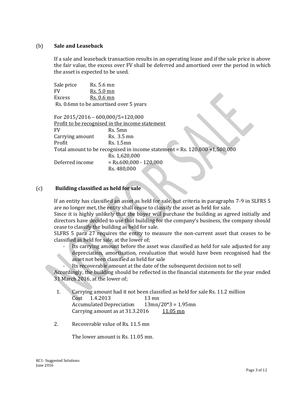## (b) **Sale and Leaseback**

If a sale and leaseback transaction results in an operating lease and if the sale price is above the fair value, the excess over FV shall be deferred and amortised over the period in which the asset is expected to be used.

Sale price Rs. 5.6 mn FV Rs. 5.0 mn Excess Rs. 0.6 mn Rs. 0.6mn to be amortised over 5 years

For 2015/2016 – 600,000/5=120,000 Profit to be recognised in the income statement FV Rs. 5mn Carrying amount Rs. 3.5 mn Profit Rs. 1.5mn Total amount to be recognised in income statement = Rs. 120,000 +1,500,000 Rs. 1,620,000 Deferred income = Rs.600,000 - 120,000 Rs. 480,000

## (c) **Building classified as held for sale**

If an entity has classified an asset as held for sale, but criteria in paragraphs 7-9 in SLFRS 5 are no longer met, the entity shall cease to classify the asset as held for sale.

Since it is highly unlikely that the buyer will purchase the building as agreed initially and directors have decided to use that building for the company's business, the company should cease to classify the building as held for sale.

SLFRS 5 para 27 requires the entity to measure the non-current asset that ceases to be classified as held for sale, at the lower of;

- Its carrying amount before the asset was classified as held for sale adjusted for any depreciation, amortisation, revaluation that would have been recognised had the asset not been classified as held for sale
	- Its recoverable amount at the date of the subsequent decision not to sell

Accordingly, the building should be reflected in the financial statements for the year ended 31 March 2016, at the lower of;

- 1. Carrying amount had it not been classified as held for sale Rs. 11.2 million Cost 1.4.2013 13 mn Accumulated Depreciation 13mn/20\*3 = 1.95mn Carrying amount as at  $31.3.2016$  11.05 mn
- 2. Recoverable value of Rs. 11.5 mn

The lower amount is Rs. 11.05 mn.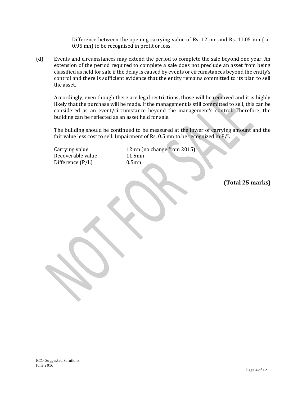Difference between the opening carrying value of Rs. 12 mn and Rs. 11.05 mn (i.e. 0.95 mn) to be recognised in profit or loss.

(d) Events and circumstances may extend the period to complete the sale beyond one year. An extension of the period required to complete a sale does not preclude an asset from being classified as held for sale if the delay is caused by events or circumstances beyond the entity's control and there is sufficient evidence that the entity remains committed to its plan to sell the asset.

Accordingly, even though there are legal restrictions, those will be removed and it is highly likely that the purchase will be made. If the management is still committed to sell, this can be considered as an event/circumstance beyond the management's control. Therefore, the building can be reflected as an asset held for sale.

The building should be continued to be measured at the lower of carrying amount and the fair value less cost to sell. Impairment of Rs. 0.5 mn to be recognized in P/L

Recoverable value 11.5mn Difference (P/L) 0.5mn

Carrying value 12mn (no change from 2015)

**(Total 25 marks)**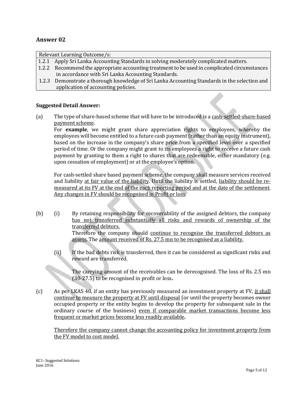## **Answer 02**

Relevant Learning Outcome/s:

- 1.2.1 Apply Sri Lanka Accounting Standards in solving moderately complicated matters.
- 1.2.2 Recommend the appropriate accounting treatment to be used in complicated circumstances in accordance with Sri Lanka Accounting Standards.
- 1.2.3 Demonstrate a thorough knowledge of Sri Lanka Accounting Standards in the selection and application of accounting policies.

## **Suggested Detail Answer:**

(a) The type of share-based scheme that will have to be introduced is a cash-settled-share-based payment scheme.

For **example**, we might grant share appreciation rights to employees, whereby the employees will become entitled to a future cash payment (rather than an equity instrument), based on the increase in the company's share price from a specified level over a specified period of time. Or the company might grant to its employees a right to receive a future cash payment by granting to them a right to shares that are redeemable, either mandatory (e.g. upon cessation of employment) or at the employee's option.

For cash-settled share based payment scheme, the company shall measure services received and liability at fair value of the liability. Until the liability is settled, liability should be remeasured at its FV at the end of the each reporting period and at the date of the settlement. Any changes in FV should be recognised in Profit or loss.

- (b) (i) By retaining responsibility for recoverability of the assigned debtors, the company has not transferred substantially all risks and rewards of ownership of the transferred debtors. Therefore the company should continue to recognise the transferred debtors as assets. The amount received of Rs. 27.5 mn to be recognised as a liability.
	- (ii) If the bad debts risk is transferred, then it can be considered as significant risks and reward are transferred.

The carrying amount of the receivables can be derecognised. The loss of Rs. 2.5 mn (30-27.5) to be recognised in profit or loss**.**

(c) As per LKAS 40, if an entity has previously measured an investment property at FV, it shall continue to measure the property at FV until disposal (or until the property becomes owner occupied property or the entity begins to develop the property for subsequent sale in the ordinary course of the business) even if comparable market transactions become less frequent or market prices become less readily available**.**

Therefore the company cannot change the accounting policy for investment property from the FV model to cost model.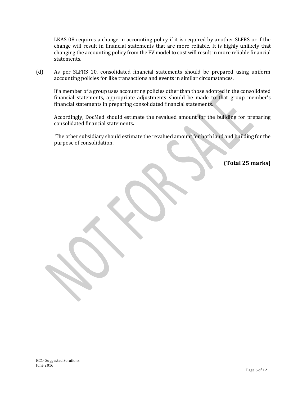LKAS 08 requires a change in accounting policy if it is required by another SLFRS or if the change will result in financial statements that are more reliable. It is highly unlikely that changing the accounting policy from the FV model to cost will result in more reliable financial statements.

(d) As per SLFRS 10, consolidated financial statements should be prepared using uniform accounting policies for like transactions and events in similar circumstances.

If a member of a group uses accounting policies other than those adopted in the consolidated financial statements, appropriate adjustments should be made to that group member's financial statements in preparing consolidated financial statements**.**

Accordingly, DocMed should estimate the revalued amount for the building for preparing consolidated financial statements**.**

The other subsidiary should estimate the revalued amount for both land and building for the purpose of consolidation.

**(Total 25 marks)**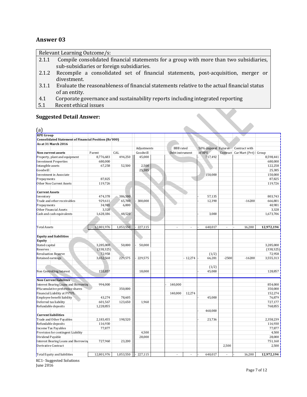## **Answer 03**

|       | Relevant Learning Outcome/s:                                                                |
|-------|---------------------------------------------------------------------------------------------|
| 2.1.1 | Compile consolidated financial statements for a group with more than two subsidiaries,      |
|       | sub-subsidiaries or foreign subsidiaries.                                                   |
| 2.1.2 | Recompile a consolidated set of financial statements, post-acquisition, merger or           |
|       | divestment.                                                                                 |
| 3.1.1 | Evaluate the reasonableness of financial statements relative to the actual financial status |
|       | of an entity.                                                                               |
| 4.1   | Corporate governance and sustainability reports including integrated reporting              |
| 5.1   | Recent ethical issues                                                                       |

## **Suggested Detail Answer:**

| <b>Suggested Detail Answer:</b>                              |            |           |             |                  |           |                      |                |                |            |
|--------------------------------------------------------------|------------|-----------|-------------|------------------|-----------|----------------------|----------------|----------------|------------|
|                                                              |            |           |             |                  |           |                      |                |                |            |
|                                                              |            |           |             |                  |           |                      |                |                |            |
| (a)                                                          |            |           |             |                  |           |                      |                |                |            |
| <b>RPE Group</b>                                             |            |           |             |                  |           |                      |                |                |            |
| <b>Consolidated Statement of Financial Position (Rs'000)</b> |            |           |             |                  |           |                      |                |                |            |
| As at 31 March 2016                                          |            |           |             |                  |           |                      |                |                |            |
|                                                              |            |           | Adjustments | <b>BBB</b> rated |           | 50% disposal Futures |                | Contract with  |            |
| Non current assets                                           | Parent     | CAL       | Goodwill    | Debt instrument  |           | of RPS               | Contract       | Car Mart (Pvt) | Group      |
| Property, plant and equipment                                | 8.776.683  | 494,250   | 45,000      |                  |           | 717,492              |                |                | 8.598.441  |
| <b>Investment Properties</b>                                 | 680,000    |           |             |                  |           |                      |                |                | 680,000    |
| Intangible assets                                            | 67,258     | 52,500    | 2,500       |                  |           |                      |                |                | 122,258    |
| Goodwill                                                     |            |           | 25,385      |                  |           |                      |                |                | 25.385     |
| <b>Investment in Associate</b>                               |            |           |             |                  |           | 150,000              |                |                | 150,000    |
| Prepayments                                                  | 87,825     |           |             |                  |           |                      |                |                | 87,825     |
| Other Non Current Assets                                     | 119,726    |           |             |                  |           |                      |                |                | 119,726    |
| <b>Current Assets</b>                                        |            |           |             |                  |           |                      |                |                |            |
| Inventory                                                    | 474,378    | 386.500   |             |                  |           | 57,135               |                |                | 803,743    |
| Trade and other receivables                                  | 929,611    | 65,780    | 300,000     |                  |           | 12,390               |                | $-16200$       | 666,801    |
| Prepayments                                                  | 34,981     | 6,000     |             |                  |           |                      |                |                | 40,981     |
| Other Financial Assets                                       | 3,328      |           |             |                  |           |                      |                |                | 3,328      |
| Cash and cash equivalents                                    | 1,628,186  | 48,520    |             |                  |           | 3,000                |                |                | 1,673,706  |
|                                                              |            |           |             |                  |           |                      |                |                |            |
| Total Assets                                                 | 12,801,976 | 1,053,550 | 227,115     |                  |           | 640,017              |                | 16,200         | 12,972,194 |
|                                                              |            |           |             |                  |           |                      |                |                |            |
| <b>Equity and liabilities</b>                                |            |           |             |                  |           |                      |                |                |            |
| <b>Equity</b>                                                |            |           |             |                  |           |                      |                |                |            |
| Stated capital                                               | 3,285,000  | 50,000    | 50,000      |                  |           |                      |                |                | 3,285,000  |
| Reserves                                                     | (338, 325) |           |             |                  |           |                      |                |                | (338, 325) |
| <b>Revaluation Reserve</b>                                   | 72,958     |           |             |                  |           | (1/2)                |                |                | 72,958     |
| Retained earnings                                            | 3,652,568  | 229,575   | 229,575     |                  | $-12,274$ | 66,281               | $-2500$        | $-16200$       | 3,555,313  |
|                                                              |            |           |             |                  |           |                      |                |                |            |
|                                                              |            |           |             |                  |           | (1/2)                |                |                |            |
| Non Controliing Interest                                     | 155,857    |           | 18,000      |                  |           | 45,000               |                |                | 128,857    |
| <b>Non Current liabilites</b>                                |            |           |             |                  |           |                      |                |                |            |
| Interest Bearing Loans and Borrowing                         | 994,000    |           |             | 140,000          |           |                      |                |                | 854,000    |
| 8% cumulative preference shares                              |            | 350,000   |             |                  |           |                      |                |                | 350,000    |
| Financial Liability at FVTPL                                 |            |           |             | 140,000          | 12,274    |                      |                |                | 152,274    |
| Employee benefit liability                                   | 43,274     | 78,605    |             |                  |           | 45,000               |                |                | 76,879     |
| Deferred tax liability                                       | 601,567    | 123,650   | 1,960       |                  |           |                      |                |                | 727,177    |
| Refundable deposits                                          | 1,228,855  |           |             |                  |           |                      |                |                | 768,855    |
| <b>Current liabilities</b>                                   |            |           |             |                  |           | 460,000              |                |                |            |
| Trade and Other Payables                                     | 2,183,455  | 198,520   |             |                  |           | 23,736               |                |                | 2,358,239  |
| Refundable deposits                                          | 116,930    |           |             |                  |           |                      |                |                | 116,930    |
| Income Tax Payables                                          | 77,877     |           |             |                  |           |                      |                |                | 77,877     |
| Provision for contingent Liability                           |            |           | 4,500       |                  |           |                      |                |                | 4,500      |
| Dividend Payable                                             |            |           | 28,000      |                  |           |                      |                |                | 28,000     |
| Interest Bearing Loans and Borrowin                          | 727,960    | 23,200    |             |                  |           |                      |                |                | 751,160    |
| <b>Derivative Contract</b>                                   |            |           |             |                  |           |                      | 2,500          |                | 2,500      |
|                                                              | 12,801,976 |           | 227,115     | $\sim$           |           | 640,017              | $\overline{a}$ |                | 12,972,194 |
| Total Equity and liabilities                                 |            | 1,053,550 |             |                  |           |                      |                | 16,200         |            |

KC1- Suggested Solutions

June 2016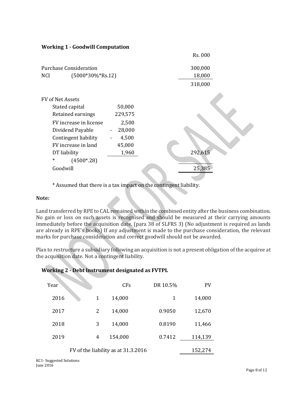| <b>Working 1 - Goodwill Computation</b> |                          |         |
|-----------------------------------------|--------------------------|---------|
|                                         |                          | Rs. 000 |
| <b>Purchase Consideration</b>           |                          | 300,000 |
| $(5000*30\%*Rs.12)$<br><b>NCI</b>       |                          | 18,000  |
|                                         |                          | 318,000 |
| <b>FV of Net Assets</b>                 |                          |         |
| Stated capital                          | 50,000                   |         |
| Retained earnings                       | 229,575                  |         |
| FV increase in license                  | 2,500                    |         |
| Dividend Payable                        | 28,000<br>$\blacksquare$ |         |
| Contingent liability                    | 4,500                    |         |
| FV increase in land                     | 45,000                   |         |
| DT liability                            | 1,960                    | 292,615 |
| $\ast$<br>$(4500*.28)$                  |                          |         |
| Goodwill                                |                          | 25,385  |

\* Assumed that there is a tax impact on the contingent liability.

## **Note:**

Land transferred by RPE to CAL remained within the combined entity after the business combination. No gain or loss on such assets is recognised and should be measured at their carrying amounts immediately before the acquisition date. (para 38 of SLFRS 3) (No adjustment is required as lands are already in RPE's books) If any adjustment is made to the purchase consideration, the relevant marks for purchase consideration and correct goodwill should not be awarded.

Plan to restructure a subsidiary following an acquisition is not a present obligation of the acquiree at the acquisition date. Not a contingent liability.

| Year |   | <b>CF<sub>s</sub></b>               | DR 10.5% | <b>PV</b> |
|------|---|-------------------------------------|----------|-----------|
| 2016 | 1 | 14,000                              | 1        | 14,000    |
| 2017 | 2 | 14,000                              | 0.9050   | 12,670    |
| 2018 | 3 | 14,000                              | 0.8190   | 11,466    |
| 2019 | 4 | 154,000                             | 0.7412   | 114,139   |
|      |   | FV of the liability as at 31.3.2016 |          | 152,274   |

## **Working 2 - Debt Instrument designated as FVTPL**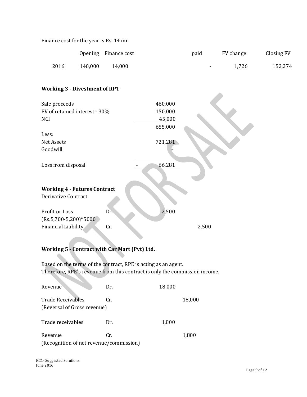| Finance cost for the year is Rs. 14 mn |  |  |  |
|----------------------------------------|--|--|--|
|----------------------------------------|--|--|--|

|      |         | Opening Finance cost | paid |        | FV change | Closing FV |
|------|---------|----------------------|------|--------|-----------|------------|
| 2016 | 140,000 | 14.000               |      | $\sim$ | 1,726     | 152,274    |

## **Working 3 - Divestment of RPT**

| Sale proceeds                       |     | 460,000 |  |
|-------------------------------------|-----|---------|--|
| FV of retained interest - 30%       |     | 150,000 |  |
| <b>NCI</b>                          |     | 45,000  |  |
|                                     |     | 655,000 |  |
| Less:                               |     |         |  |
| Net Assets                          |     | 721,281 |  |
| Goodwill                            |     |         |  |
| Loss from disposal                  |     | 66,281  |  |
| <b>Working 4 - Futures Contract</b> |     |         |  |
| <b>Derivative Contract</b>          |     |         |  |
| Profit or Loss                      | Dr. | 2,500   |  |
| $(Rs.5,700-5,200)*5000$             |     |         |  |
| Financial Liability                 | Cr. | 2,500   |  |

## **Working 5 - Contract with Car Mart (Pvt) Ltd.**

Based on the terms of the contract, RPE is acting as an agent. Therefore, RPE's revenue from this contract is only the commission income.

| Revenue                                                 | Dr. | 18,000 |        |
|---------------------------------------------------------|-----|--------|--------|
| <b>Trade Receivables</b><br>(Reversal of Gross revenue) | Cr. |        | 18,000 |
| Trade receivables                                       | Dr. | 1,800  |        |
| Revenue<br>(Recognition of net revenue/commission)      | Cr. |        | 1,800  |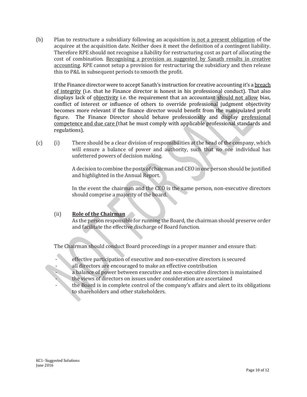(b) Plan to restructure a subsidiary following an acquisition is not a present obligation of the acquiree at the acquisition date. Neither does it meet the definition of a contingent liability. Therefore RPE should not recognise a liability for restructuring cost as part of allocating the cost of combination. Recognising a provision as suggested by Sanath results in creative accounting. RPE cannot setup a provision for restructuring the subsidiary and then release this to P&L in subsequent periods to smooth the profit.

If the Finance director were to accept Sanath's instruction for creative accounting it's a breach of integrity (i.e. that he Finance director is honest in his professional conduct). That also displays lack of <u>objectivity</u> i.e. the requirement that an accountant should not allow bias, conflict of interest or influence of others to override professional judgment objectivity becomes more relevant if the finance director would benefit from the manipulated profit figure. The Finance Director should behave professionally and display professional competence and due care (that he must comply with applicable professional standards and regulations).

(c) (i) There should be a clear division of responsibilities at the head of the company, which will ensure a balance of power and authority, such that no one individual has unfettered powers of decision making.

> A decision to combine the posts of chairman and CEO in one person should be justified and highlighted in the Annual Report.

> In the event the chairman and the CEO is the same person, non-executive directors should comprise a majority of the board.

## (ii) **Role of the Chairman**

As the person responsible for running the Board, the chairman should preserve order and facilitate the effective discharge of Board function.

The Chairman should conduct Board proceedings in a proper manner and ensure that:

- effective participation of executive and non-executive directors is secured all directors are encouraged to make an effective contribution
- a balance of power between executive and non-executive directors is maintained
- the views of directors on issues under consideration are ascertained
- the Board is in complete control of the company's affairs and alert to its obligations to shareholders and other stakeholders.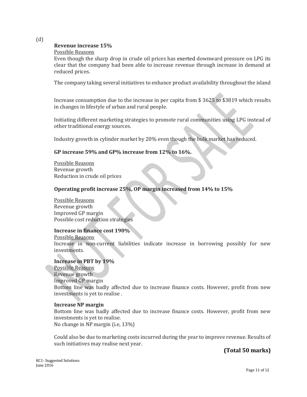(d)

## **Revenue increase 15%**

## Possible Reasons

Even though the sharp drop in crude oil prices has exerted downward pressure on LPG its clear that the company had been able to increase revenue through increase in demand at reduced prices.

The company taking several initiatives to enhance product availability throughout the island

Increase consumption due to the increase in per capita from \$ 3625 to \$3819 which results in changes in lifestyle of urban and rural people.

Initiating different marketing strategies to promote rural communities using LPG instead of other traditional energy sources.

Industry growth in cylinder market by 20% even though the bulk market has reduced.

## **GP increase 59% and GP% increase from 12% to 16%.**

Possible Reasons Revenue growth Reduction in crude oil prices

## **Operating profit increase 25%, OP margin increased from 14% to 15%**

## Possible Reasons

Revenue growth Improved GP margin Possible cost reduction strategies

## **Increase in finance cost 190%**

#### Possible Reasons

Increase in non-current liabilities indicate increase in borrowing possibly for new investments.

## **Increase in PBT by 19%**

Possible Reasons Revenue growth Improved GP margin Bottom line was badly affected due to increase finance costs. However, profit from new investments is yet to realise .

## **Increase NP margin**

Bottom line was badly affected due to increase finance costs. However, profit from new investments is yet to realise. No change in NP margin (i.e, 13%)

Could also be due to marketing costs incurred during the year to improve revenue. Results of such initiatives may realise next year.

**(Total 50 marks)**